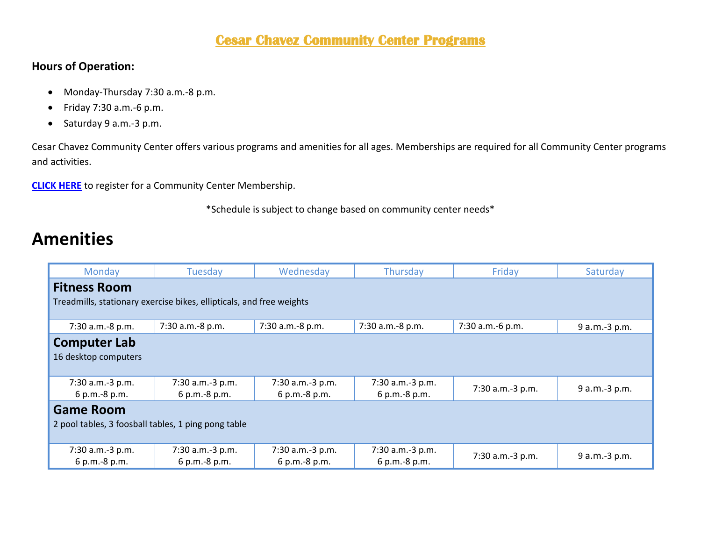#### **Cesar Chavez Community Center Programs**

#### **Hours of Operation:**

- Monday-Thursday 7:30 a.m.-8 p.m.
- Friday 7:30 a.m.-6 p.m.
- Saturday 9 a.m.-3 p.m.

Cesar Chavez Community Center offers various programs and amenities for all ages. Memberships are required for all Community Center programs and activities.

**[CLICK HERE](https://web2.myvscloud.com/wbwsc/nmalbuquerquewt.wsc/search.html?module=PM&type=CC&SessionID=d846710dc56d5463f537aafcaa509fe683a16764b8a199b747fabb22a632bf00b5cd4ef582907e548730d0f15f5e48947ca2713046b42ddc29ca9d724aa72ffa)** to register for a Community Center Membership.

\*Schedule is subject to change based on community center needs\*

#### **Amenities**

| Monday                                                               | Tuesday          | Wednesday        | Thursday         | Friday           | Saturday      |  |  |
|----------------------------------------------------------------------|------------------|------------------|------------------|------------------|---------------|--|--|
| <b>Fitness Room</b>                                                  |                  |                  |                  |                  |               |  |  |
| Treadmills, stationary exercise bikes, ellipticals, and free weights |                  |                  |                  |                  |               |  |  |
|                                                                      |                  |                  |                  |                  |               |  |  |
| 7:30 a.m.-8 p.m.                                                     | 7:30 a.m.-8 p.m. | 7:30 a.m.-8 p.m. | 7:30 a.m.-8 p.m. | 7:30 a.m.-6 p.m. | 9 a.m.-3 p.m. |  |  |
| <b>Computer Lab</b>                                                  |                  |                  |                  |                  |               |  |  |
| 16 desktop computers                                                 |                  |                  |                  |                  |               |  |  |
|                                                                      |                  |                  |                  |                  |               |  |  |
| 7:30 a.m.-3 p.m.                                                     | 7:30 a.m.-3 p.m. | 7:30 a.m.-3 p.m. | 7:30 a.m.-3 p.m. |                  |               |  |  |
| 6 p.m.-8 p.m.                                                        | 6 p.m.-8 p.m.    | 6 p.m.-8 p.m.    | 6 p.m.-8 p.m.    | 7:30 a.m.-3 p.m. | 9 a.m.-3 p.m. |  |  |
| <b>Game Room</b>                                                     |                  |                  |                  |                  |               |  |  |
| 2 pool tables, 3 foosball tables, 1 ping pong table                  |                  |                  |                  |                  |               |  |  |
|                                                                      |                  |                  |                  |                  |               |  |  |
| 7:30 a.m.-3 p.m.                                                     | 7:30 a.m.-3 p.m. | 7:30 a.m.-3 p.m. | 7:30 a.m.-3 p.m. | 7:30 a.m.-3 p.m. |               |  |  |
| 6 p.m.-8 p.m.                                                        | 6 p.m.-8 p.m.    | 6 p.m.-8 p.m.    | 6 p.m.-8 p.m.    |                  | 9 a.m.-3 p.m. |  |  |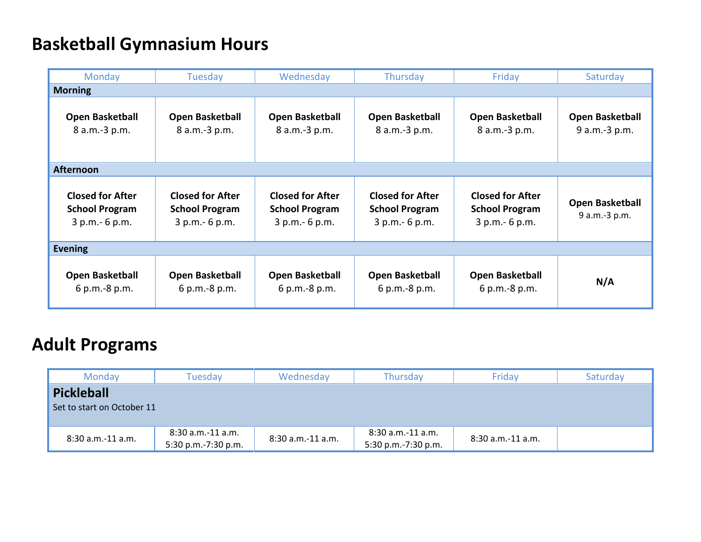## **Basketball Gymnasium Hours**

| Monday                                                              | Tuesday                                                             | Wednesday                                                           | Thursday                                                            | Friday                                                              | Saturday                                |  |  |
|---------------------------------------------------------------------|---------------------------------------------------------------------|---------------------------------------------------------------------|---------------------------------------------------------------------|---------------------------------------------------------------------|-----------------------------------------|--|--|
| <b>Morning</b>                                                      |                                                                     |                                                                     |                                                                     |                                                                     |                                         |  |  |
| <b>Open Basketball</b><br>8 a.m.-3 p.m.                             | <b>Open Basketball</b><br>8 a.m.-3 p.m.                             | <b>Open Basketball</b><br>8 a.m.-3 p.m.                             | <b>Open Basketball</b><br>8 a.m.-3 p.m.                             | <b>Open Basketball</b><br>8 a.m.-3 p.m.                             | <b>Open Basketball</b><br>9 a.m.-3 p.m. |  |  |
| <b>Afternoon</b>                                                    |                                                                     |                                                                     |                                                                     |                                                                     |                                         |  |  |
| <b>Closed for After</b><br><b>School Program</b><br>3 p.m. - 6 p.m. | <b>Closed for After</b><br><b>School Program</b><br>3 p.m. - 6 p.m. | <b>Closed for After</b><br><b>School Program</b><br>3 p.m. - 6 p.m. | <b>Closed for After</b><br><b>School Program</b><br>$3 p.m.-6 p.m.$ | <b>Closed for After</b><br><b>School Program</b><br>3 p.m. - 6 p.m. | <b>Open Basketball</b><br>9 a.m.-3 p.m. |  |  |
| <b>Evening</b>                                                      |                                                                     |                                                                     |                                                                     |                                                                     |                                         |  |  |
| <b>Open Basketball</b><br>6 p.m.-8 p.m.                             | <b>Open Basketball</b><br>6 p.m.-8 p.m.                             | <b>Open Basketball</b><br>6 p.m.-8 p.m.                             | <b>Open Basketball</b><br>6 p.m.-8 p.m.                             | <b>Open Basketball</b><br>6 p.m.-8 p.m.                             | N/A                                     |  |  |

# **Adult Programs**

| Monday                                          | Tuesdav                                  | Wednesday         | <b>Thursday</b>                            | Friday              | Saturday |  |
|-------------------------------------------------|------------------------------------------|-------------------|--------------------------------------------|---------------------|----------|--|
| <b>Pickleball</b><br>Set to start on October 11 |                                          |                   |                                            |                     |          |  |
| 8:30 a.m.-11 a.m.                               | 8:30 a.m.-11 a.m.<br>5:30 p.m.-7:30 p.m. | 8:30 a.m.-11 a.m. | $8:30$ a.m.-11 a.m.<br>5:30 p.m.-7:30 p.m. | $8:30$ a.m.-11 a.m. |          |  |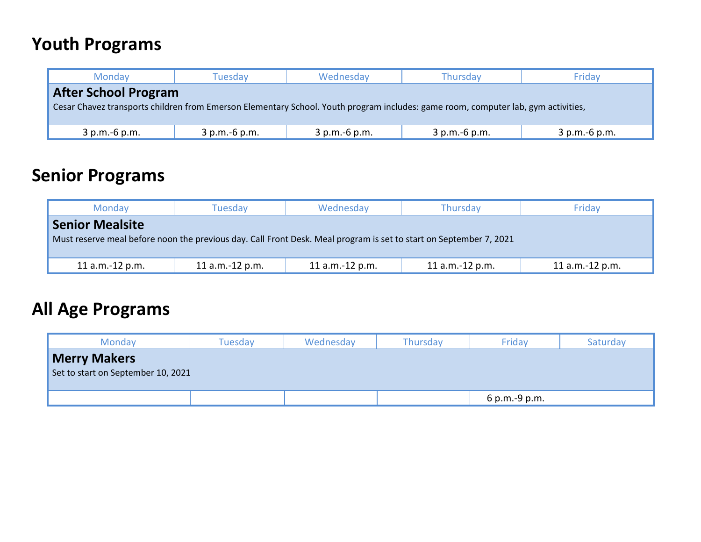## **Youth Programs**

| Monday                                                                                                                            | Wednesday<br><b>Tuesdav</b> |               | <b>Thursday</b> | Friday        |  |  |
|-----------------------------------------------------------------------------------------------------------------------------------|-----------------------------|---------------|-----------------|---------------|--|--|
| <b>After School Program</b>                                                                                                       |                             |               |                 |               |  |  |
| Cesar Chavez transports children from Emerson Elementary School. Youth program includes: game room, computer lab, gym activities, |                             |               |                 |               |  |  |
|                                                                                                                                   |                             |               |                 |               |  |  |
| $3 p.m.-6 p.m.$                                                                                                                   | 3 p.m.-6 p.m.               | 3 p.m.-6 p.m. | 3 p.m.-6 p.m.   | 3 p.m.-6 p.m. |  |  |

### **Senior Programs**

| Monday                                                                                                             | Tuesdav<br>Wednesday |                 | Thursdav          | Fridav          |  |  |
|--------------------------------------------------------------------------------------------------------------------|----------------------|-----------------|-------------------|-----------------|--|--|
| <b>Senior Mealsite</b>                                                                                             |                      |                 |                   |                 |  |  |
| Must reserve meal before noon the previous day. Call Front Desk. Meal program is set to start on September 7, 2021 |                      |                 |                   |                 |  |  |
|                                                                                                                    |                      |                 |                   |                 |  |  |
| 11 $a.m.-12 p.m.$                                                                                                  | 11 a.m.-12 p.m.      | 11 a.m.-12 p.m. | 11 $a.m.-12 p.m.$ | 11 a.m.-12 p.m. |  |  |

#### **All Age Programs**

| <b>Monday</b>       | Tuesdav                            | Wednesday | Thursday | Friday        | Saturday |  |
|---------------------|------------------------------------|-----------|----------|---------------|----------|--|
| <b>Merry Makers</b> |                                    |           |          |               |          |  |
|                     | Set to start on September 10, 2021 |           |          |               |          |  |
|                     |                                    |           |          |               |          |  |
|                     |                                    |           |          | 6 p.m.-9 p.m. |          |  |